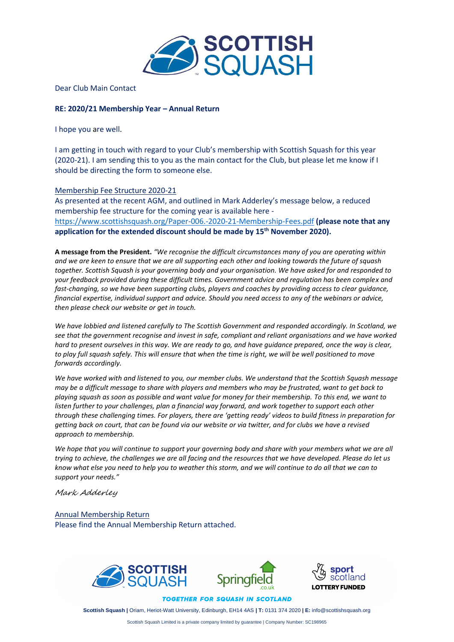

Dear Club Main Contact

## **RE: 2020/21 Membership Year – Annual Return**

I hope you are well.

I am getting in touch with regard to your Club's membership with Scottish Squash for this year (2020-21). I am sending this to you as the main contact for the Club, but please let me know if I should be directing the form to someone else.

## Membership Fee Structure 2020-21

As presented at the recent AGM, and outlined in Mark Adderley's message below, a reduced membership fee structure for the coming year is available here [https://www.scottishsquash.org/Paper-006.-2020-21-Membership-Fees.pdf](https://www.scottishsquash.org/wp-content/uploads/2020/09/Paper-006.-2020-21-Membership-Fees.pdf) **(please note that any application for the extended discount should be made by 15th November 2020).**

**A message from the President.** *"We recognise the difficult circumstances many of you are operating within and we are keen to ensure that we are all supporting each other and looking towards the future of squash together. Scottish Squash is your governing body and your organisation. We have asked for and responded to your feedback provided during these difficult times. Government advice and regulation has been complex and fast-changing, so we have been supporting clubs, players and coaches by providing access to clear guidance, financial expertise, individual support and advice. Should you need access to any of the webinars or advice, then please check our website or get in touch.*

*We have lobbied and listened carefully to The Scottish Government and responded accordingly. In Scotland, we see that the government recognise and invest in safe, compliant and reliant organisations and we have worked hard to present ourselves in this way. We are ready to go, and have guidance prepared, once the way is clear, to play full squash safely. This will ensure that when the time is right, we will be well positioned to move forwards accordingly.* 

*We have worked with and listened to you, our member clubs. We understand that the Scottish Squash message may be a difficult message to share with players and members who may be frustrated, want to get back to playing squash as soon as possible and want value for money for their membership. To this end, we want to*  listen further to your challenges, plan a financial way forward, and work together to support each other *through these challenging times. For players, there are 'getting ready' videos to build fitness in preparation for getting back on court, that can be found via our website or via twitter, and for clubs we have a revised approach to membership.*

*We hope that you will continue to support your governing body and share with your members what we are all trying to achieve, the challenges we are all facing and the resources that we have developed. Please do let us know what else you need to help you to weather this storm, and we will continue to do all that we can to support your needs."*

Mark Adderley

Annual Membership Return Please find the Annual Membership Return attached.



**TOGETHER FOR SQUASH IN SCOTLAND** 

**Scottish Squash |** Oriam, Heriot-Watt University, Edinburgh, EH14 4AS **| T:** 0131 374 2020 **| E:** info@scottishsquash.org

Scottish Squash Limited is a private company limited by guarantee | Company Number: SC198965